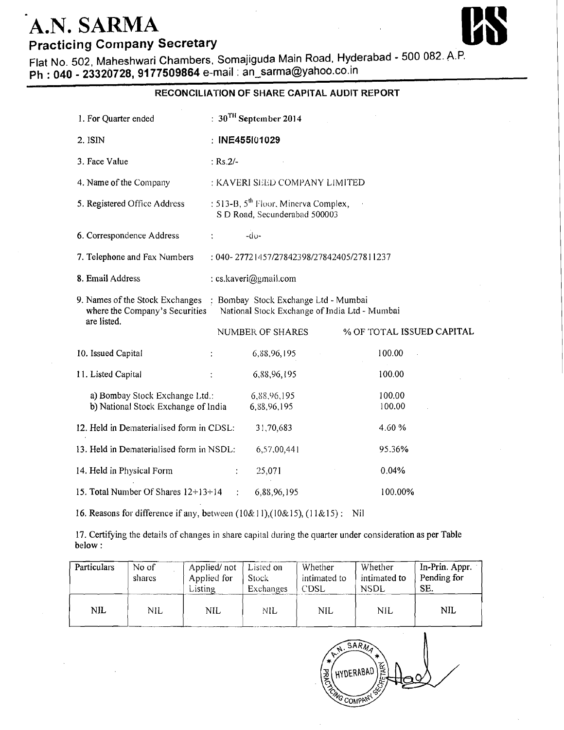## A.N. SARMA **Practicing Company Secretary**

Flat No. 502, Maheshwari Chambers, Somajiguda Main Road, Hyderabad - 500 082. A.P. Ph: 040 - 23320728, 9177509864 e-mail: an\_sarma@yahoo.co.in

## RECONCILIATION OF SHARE CAPITAL AUDIT REPORT :  $30^{\text{TH}}$  September 2014 1. For Ouarter ended 2. ISIN : INE455101029 3. Face Value  $:$  Rs.2/-4. Name of the Company : KAVERI SEED COMPANY LIMITED : 513-B,  $5^{\text{th}}$  Floor, Minerva Complex, 5. Registered Office Address S D Road, Secunderabad 500003 6. Correspondence Address  $-dv$ 7. Telephone and Fax Numbers : 040-27721457/27842398/27842405/27811237 8. Email Address : cs.kaveri@gmail.com 9. Names of the Stock Exchanges : Bombay Stock Exchange Ltd - Mumbai where the Company's Securities National Stock Exchange of India Ltd - Mumbai are listed. **NUMBER OF SHARES** % OF TOTAL ISSUED CAPITAL 10. Issued Capital 6,88,96,195 100.00 11. Listed Capital 6,88,96,195 100.00 a) Bombay Stock Exchange Ltd.: 100.00 6,88,96,195 b) National Stock Exchange of India 6,88,96,195 100.00 12. Held in Dematerialised form in CDSL: 31,70,683 4.60% 13. Held in Dematerialised form in NSDL: 6,57,00,441 95.36% 14. Held in Physical Form  $0.04%$ 25,071 15. Total Number Of Shares  $12+13+14$ 6,88,96,195 100.00%

16. Reasons for difference if any, between  $(10\&11)$ ,  $(10\&15)$ ,  $(11\&15)$ : Nil

17. Certifying the details of changes in share capital during the quarter under consideration as per Table below:

| Particulars | No of<br>shares | Applied/not<br>Applied for<br><b>Listing</b> | Listed on<br><b>Stock</b><br><b>Exchanges</b> | Whether<br>intimated to<br>CDSL | Whether<br>intimated to<br><b>NSDL</b> | In-Prin. Appr.<br>Pending for<br>SE. |
|-------------|-----------------|----------------------------------------------|-----------------------------------------------|---------------------------------|----------------------------------------|--------------------------------------|
| NIL         | NIL             | NIL                                          | NIL                                           | NIL                             | <b>NIL</b>                             | NIL                                  |

SARM **HYDERABAI**